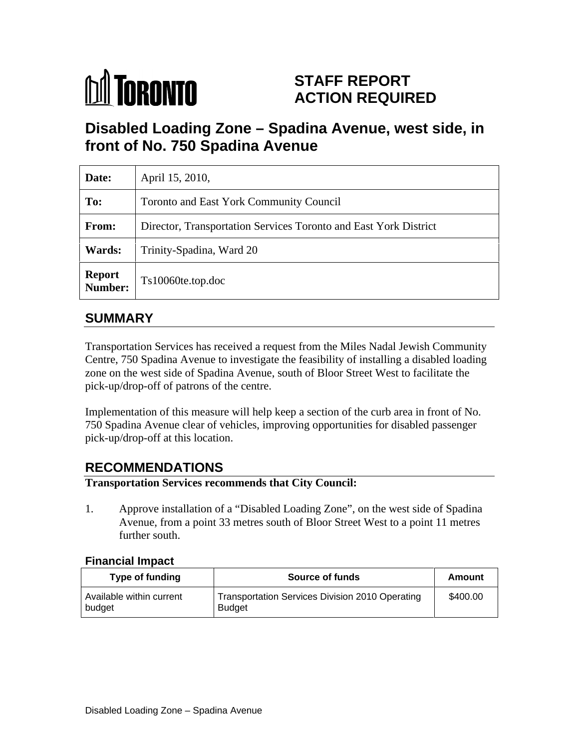# **M** TORONTO

# **STAFF REPORT ACTION REQUIRED**

# **Disabled Loading Zone – Spadina Avenue, west side, in front of No. 750 Spadina Avenue**

| Date:                    | April 15, 2010,                                                  |
|--------------------------|------------------------------------------------------------------|
| To:                      | Toronto and East York Community Council                          |
| From:                    | Director, Transportation Services Toronto and East York District |
| <b>Wards:</b>            | Trinity-Spadina, Ward 20                                         |
| <b>Report</b><br>Number: | Ts10060te.top.doc                                                |

# **SUMMARY**

Transportation Services has received a request from the Miles Nadal Jewish Community Centre, 750 Spadina Avenue to investigate the feasibility of installing a disabled loading zone on the west side of Spadina Avenue, south of Bloor Street West to facilitate the pick-up/drop-off of patrons of the centre.

Implementation of this measure will help keep a section of the curb area in front of No. 750 Spadina Avenue clear of vehicles, improving opportunities for disabled passenger pick-up/drop-off at this location.

# **RECOMMENDATIONS**

#### **Transportation Services recommends that City Council:**

1. Approve installation of a "Disabled Loading Zone", on the west side of Spadina Avenue, from a point 33 metres south of Bloor Street West to a point 11 metres further south.

#### **Financial Impact**

| <b>⊺ype of funding</b>             | <b>Source of funds</b>                                    | <b>Amounเ</b> |
|------------------------------------|-----------------------------------------------------------|---------------|
| Available within current<br>budget | Transportation Services Division 2010 Operating<br>Budget | \$400.00      |